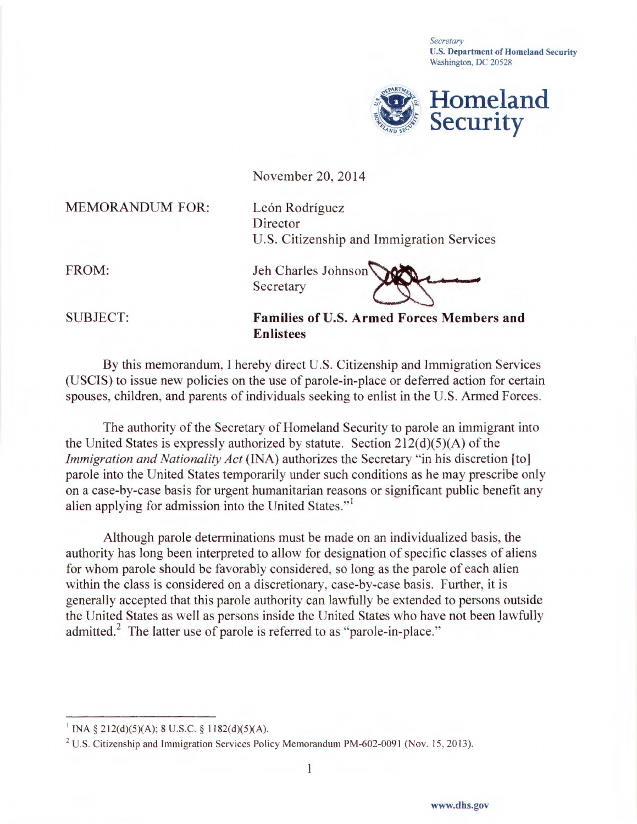*Secretary*  U.S. Department of Homeland Security Washington, DC 20528



November 20, 2014

MEMORANDUM FOR: León Rodríguez

Director U.S. Citizenship and Immigration Services

FROM: Jeh Charles Johnson Secretary

SUBJECT: **Families of** U.S. **Armed Forces Members and Enlistees** 

By this memorandum, I hereby direct U.S. Citizenship and Immigration Services (USCIS) to issue new policies on the use of parole-in-place or deferred action for certain spouses, children, and parents of individuals seeking to enlist in the U.S. Armed Forces.

The authority of the Secretary of Homeland Security to parole an immigrant into the United States is expressly authorized by statute. Section  $212(d)(5)(A)$  of the *Immigration and Nationality Act* (INA) authorizes the Secretary "in his discretion [to] parole into the United States temporarily under such conditions as he may prescribe only on a case-by-case basis for urgent humanitarian reasons or significant public benefit any alien applying for admission into the United States."<sup>1</sup>

Although parole determinations must be made on an individualized basis, the authority has long been interpreted to allow for designation of specific classes of aliens for whom parole should be favorably considered, so long as the parole of each alien within the class is considered on a discretionary, case-by-case basis. Further, it is generally accepted that this parole authority can lawfully be extended to persons outside the United States as well as persons inside the United States who have not been lawfully admitted.<sup>2</sup> The latter use of parole is referred to as "parole-in-place."

<sup>&</sup>lt;sup>1</sup> INA § 212(d)(5)(A); 8 U.S.C. § 1182(d)(5)(A).

<sup>2</sup> U.S. Citizenship and Immigration Services Policy Memorandum PM-602-0091 (Nov. 15, 2013).